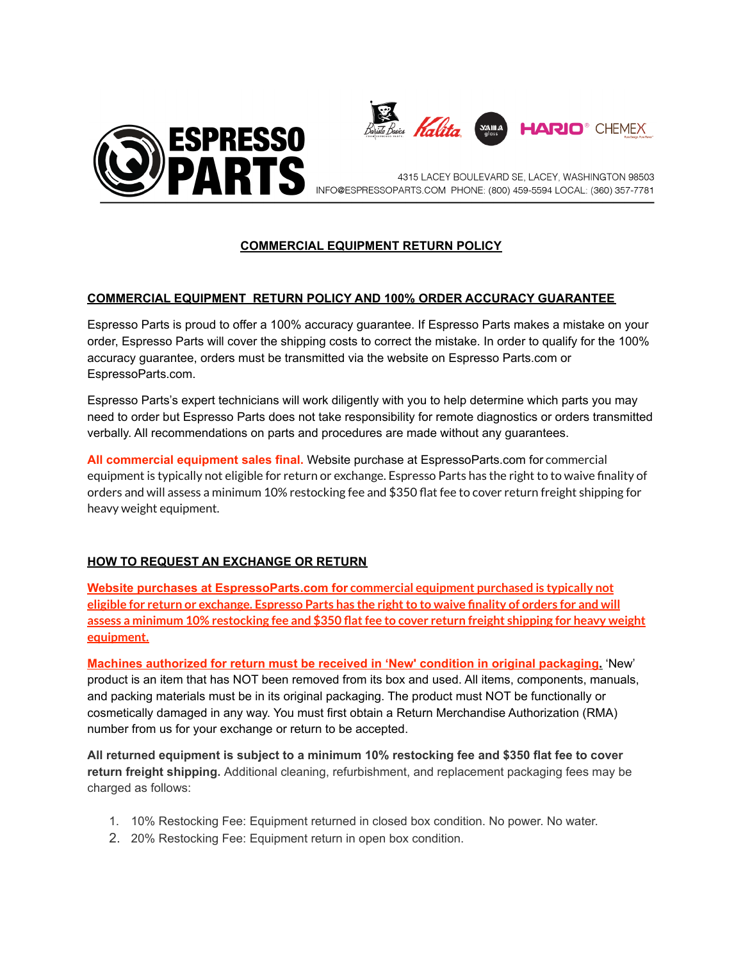



4315 LACEY BOULEVARD SE, LACEY, WASHINGTON 98503 INFO@ESPRESSOPARTS.COM PHONE: (800) 459-5594 LOCAL: (360) 357-7781

## **COMMERCIAL EQUIPMENT RETURN POLICY**

## **COMMERCIAL EQUIPMENT RETURN POLICY AND 100% ORDER ACCURACY GUARANTEE**

Espresso Parts is proud to offer a 100% accuracy guarantee. If Espresso Parts makes a mistake on your order, Espresso Parts will cover the shipping costs to correct the mistake. In order to qualify for the 100% accuracy guarantee, orders must be transmitted via the website on Espresso Parts.com or EspressoParts.com.

Espresso Parts's expert technicians will work diligently with you to help determine which parts you may need to order but Espresso Parts does not take responsibility for remote diagnostics or orders transmitted verbally. All recommendations on parts and procedures are made without any guarantees.

**All commercial equipment sales final.** Website purchase at EspressoParts.com for commercial equipment is typically not eligible for return or exchange. Espresso Parts has the right to to waive finality of orders and will assess a minimum 10% restocking fee and \$350 flat fee to cover return freight shipping for heavy weight equipment.

## **HOW TO REQUEST AN EXCHANGE OR RETURN**

**Website purchases at EspressoParts.com for commercial equipment purchased is typically not** eligible for return or exchange. Espresso Parts has the right to to waive finality of orders for and will **assess a minimum 10% restocking fee and \$350 flatfee to cover return freight shipping for heavy weight equipment.**

**Machines authorized for return must be received in 'New' condition in original packaging.** 'New' product is an item that has NOT been removed from its box and used. All items, components, manuals, and packing materials must be in its original packaging. The product must NOT be functionally or cosmetically damaged in any way. You must first obtain a Return Merchandise Authorization (RMA) number from us for your exchange or return to be accepted.

**All returned equipment is subject to a minimum 10% restocking fee and \$350 flat fee to cover return freight shipping.** Additional cleaning, refurbishment, and replacement packaging fees may be charged as follows:

- 1. 10% Restocking Fee: Equipment returned in closed box condition. No power. No water.
- 2. 20% Restocking Fee: Equipment return in open box condition.